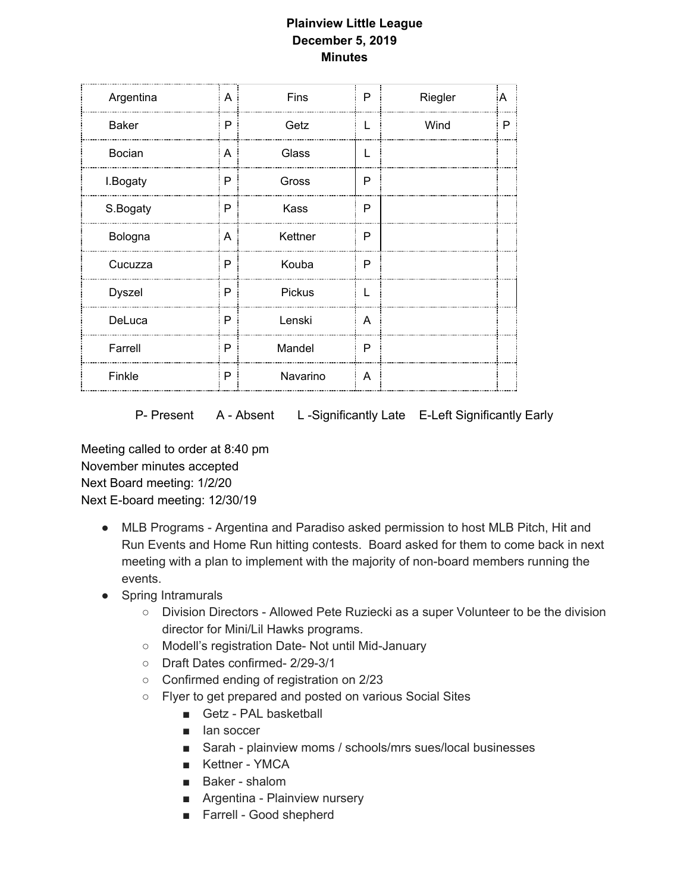## **Plainview Little League December 5, 2019 Minutes**

| A | Fins     | P            | Riegler | A |
|---|----------|--------------|---------|---|
| P | Getz     | L            | Wind    | P |
| A | Glass    | L            |         |   |
| P | Gross    | P            |         |   |
| P | Kass     | P            |         |   |
| A | Kettner  | P            |         |   |
| P | Kouba    | P            |         |   |
| P | Pickus   | $\mathbf{I}$ |         |   |
| P | Lenski   | A            |         |   |
| P | Mandel   | P            |         |   |
| P | Navarino | $\mathsf{A}$ |         |   |
|   |          |              |         |   |

P- Present A - Absent L-Significantly Late E-Left Significantly Early

Meeting called to order at 8:40 pm November minutes accepted Next Board meeting: 1/2/20 Next E-board meeting: 12/30/19

- MLB Programs Argentina and Paradiso asked permission to host MLB Pitch, Hit and Run Events and Home Run hitting contests. Board asked for them to come back in next meeting with a plan to implement with the majority of non-board members running the events.
- Spring Intramurals
	- Division Directors Allowed Pete Ruziecki as a super Volunteer to be the division director for Mini/Lil Hawks programs.
	- Modell's registration Date- Not until Mid-January
	- Draft Dates confirmed- 2/29-3/1
	- Confirmed ending of registration on 2/23
	- Flyer to get prepared and posted on various Social Sites
		- Getz PAL basketball
		- Ian soccer
		- Sarah plainview moms / schools/mrs sues/local businesses
		- Kettner YMCA
		- Baker shalom
		- Argentina Plainview nursery
		- Farrell Good shepherd